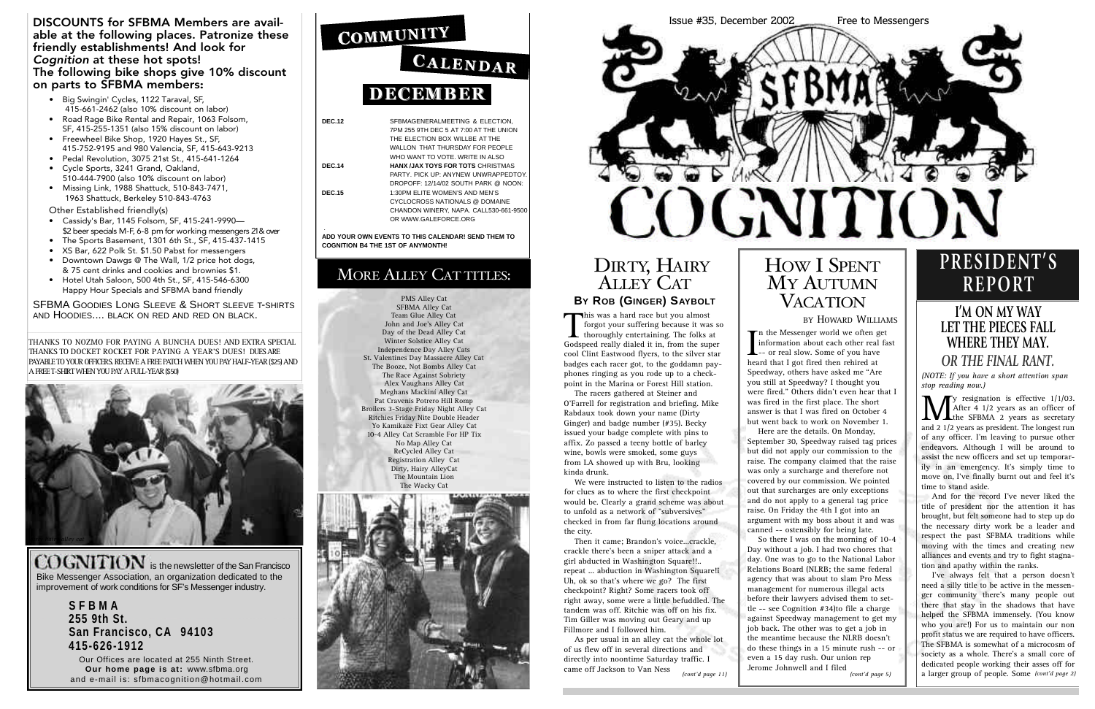**DEC.12** SFBMAGENERALMEETING & ELECTION,

7PM 255 9TH DEC 5 AT 7:00 AT THE UNION

THE ELECTION BOX WILLBE AT THE WALLON THAT THURSDAY FOR PEOPLE WHO WANT TO VOTE. WRITE IN ALSO **DEC.14 HANX /JAX TOYS FOR TOTS** CHRISTMAS PARTY. PICK UP: ANYNEW UNWRAPPEDTOY. DROPOFF: 12/14/02 SOUTH PARK @ NOON: **DEC.15** 1:30PM ELITE WOMEN'S AND MEN'S CYCLOCROSS NATIONALS @ DOMAINE CHANDON WINERY, NAPA. CALL530-661-9500 OR WWW.GALEFORCE.ORG

COGNITION is the newsletter of the San Francisco Bike Messenger Association, an organization dedicated to the improvement of work conditions for SF's Messenger industry.

. **ADD YOUR OWN EVENTS TO THIS CALENDAR! SEND THEM TO COGNITION B4 THE 1ST OF ANYMONTH!**

### MORE ALLEY CAT TITLES:

**S F B M A 255 9th St. San Francisco, CA 94103 4 1 5 - 6 2 6 - 1 9 1 2**

Our Offices are located at 255 Ninth Street. **Our home page is at: www.sfbma.org** and e-mail is: sfbmacognition@hotmail.com

### COMMUNITY

## CALENDAR **DECEMBER**

#### DISCOUNTS for SFBMA Members are available at the following places. Patronize these friendly establishments! And look for *Cognition* at these hot spots! The following bike shops give 10% discount on parts to SFBMA members:

- Big Swingin' Cycles, 1122 Taraval, SF, 415-661-2462 (also 10% discount on labor)
- Road Rage Bike Rental and Repair, 1063 Folsom, SF, 415-255-1351 (also 15% discount on labor)
- Freewheel Bike Shop, 1920 Hayes St., SF, 415-752-9195 and 980 Valencia, SF, 415-643-9213
- Pedal Revolution, 3075 21st St., 415-641-1264 • Cycle Sports, 3241 Grand, Oakland,
- 510-444-7900 (also 10% discount on labor) • Missing Link, 1988 Shattuck, 510-843-7471, 1963 Shattuck, Berkeley 510-843-4763

 $\sum_{\text{the SFBMA 2 years as an officer of} \text{and } 2.1/2 \text{ years as} \text{ are } 1/2 \text{ years as } 1/2 \text{ years as} \text{ are } 1/2 \text{ years as} \text{ are } 1/2 \text{ years as} \text{ are } 1/2 \text{ years as} \text{ are } 1/2 \text{ years as} \text{ are } 1/2 \text{ years as} \text{ are } 1/2 \text{ years as} \text{ are } 1/2 \text{ years as} \text{ are } 1/2 \text{ years as} \text{ are } 1/2 \text{ years as} \text{ are } 1/2 \text{ years as} \text{ are } 1/2 \$  $\tau$ y resignation is effective  $1/1/03$ . After 4 1/2 years as an officer of and 2 1/2 years as president. The longest run of any officer. I'm leaving to pursue other endeavors. Although I will be around to assist the new officers and set up temporarily in an emergency. It's simply time to move on, I've finally burnt out and feel it's time to stand aside.

Other Established friendly(s)

- Cassidy's Bar, 1145 Folsom, SF, 415-241-9990— \$2 beer specials M-F, 6-8 pm for working messengers 21 & over
- The Sports Basement, 1301 6th St., SF, 415-437-1415
- XS Bar, 622 Polk St. \$1.50 Pabst for messengers
- Downtown Dawgs @ The Wall, 1/2 price hot dogs, & 75 cent drinks and cookies and brownies \$1.
- Hotel Utah Saloon, 500 4th St., SF, 415-546-6300 Happy Hour Specials and SFBMA band friendly

This was a hard race but you almost<br>forgot your suffering because it was<br>thoroughly entertaining. The folks forgot your suffering because it was so  $\blacktriangle$  thoroughly entertaining. The folks at Godspeed really dialed it in, from the super cool Clint Eastwood flyers, to the silver star badges each racer got, to the goddamn payphones ringing as you rode up to a checkpoint in the Marina or Forest Hill station.

SFBMA GOODIES LONG SLEEVE & SHORT SLEEVE T-SHIRTS AND HOODIES.... BLACK ON RED AND RED ON BLACK.

THANKS TO NOZMO FOR PAYING A BUNCHA DUES! AND EXTRA SPECIAL THANKS TO DOCKET ROCKET FOR PAYING A YEAR'S DUES! DUES ARE PAYABLE TO YOUR OFFICERS. RECEIVE A FREE PATCH WHEN YOU PAY HALF-YEAR (\$25) AND A FREE T-SHIRT WHEN YOU PAY A FULL-YEAR (\$50)



### DIRTY, HAIRY ALLEY CAT **BY** ROB (GINGER) SAYBOLT

### **I'M ON MY WAY LET THE PIECES FALL WHERE THEY MAY.**  *OR THE FINAL RANT.*

*(NOTE: If you have a short attention span stop reading now.)* 

And for the record I've never liked the title of president nor the attention it has brought, but felt someone had to step up do the necessary dirty work be a leader and respect the past SFBMA traditions while moving with the times and creating new alliances and events and try to fight stagnation and apathy within the ranks.

In the Messenger world we often g<br>information about each other real<br>-- or real slow. Some of you have<br>heard that I got fired then rehired at  $\blacksquare$  n the Messenger world we often get information about each other real fast heard that I got fired then rehired at Speedway, others have asked me "Are you still at Speedway? I thought you were fired." Others didn't even hear that I was fired in the first place. The short answer is that I was fired on October 4 but went back to work on November 1. Here are the details. On Monday, September 30, Speedway raised tag prices but did not apply our commission to the raise. The company claimed that the raise was only a surcharge and therefore not covered by our commission. We pointed out that surcharges are only exceptions and do not apply to a general tag price raise. On Friday the 4th I got into an argument with my boss about it and was canned -- ostensibly for being late. So there I was on the morning of 10-4 Day without a job. I had two chores that day. One was to go to the National Labor Relations Board (NLRB; the same federal agency that was about to slam Pro Mess management for numerous illegal acts before their lawyers advised them to settle -- see Cognition #34)to file a charge against Speedway management to get my job back. The other was to get a job in the meantime because the NLRB doesn't do these things in a 15 minute rush -- or even a 15 day rush. Our union rep Jerome Johnwell and I filed

### HOW I SPENT MY AUTUMN **VACATION**

## **P R E S I D E N T ' S R E P O R T**

The racers gathered at Steiner and O'Farrell for registration and briefing. Mike Rabdaux took down your name (Dirty Ginger) and badge number (#35). Becky issued your badge complete with pins to affix. Zo passed a teeny bottle of barley wine, bowls were smoked, some guys from LA showed up with Bru, looking kinda drunk.

We were instructed to listen to the radios for clues as to where the first checkpoint would be. Clearly a grand scheme was about to unfold as a network of "subversives" checked in from far flung locations around the city.

Then it came; Brandon's voice...crackle, crackle there's been a sniper attack and a girl abducted in Washington Square!!.. repeat ... abduction in Washington Square!î Uh, ok so that's where we go? The first checkpoint? Right? Some racers took off right away, some were a little befuddled. The tandem was off. Ritchie was off on his fix. Tim Giller was moving out Geary and up Fillmore and I followed him.

I've always felt that a person doesn't need a silly title to be active in the messenger community there's many people out there that stay in the shadows that have helped the SFBMA immensely. (You know who you are!) For us to maintain our non profit status we are required to have officers. The SFBMA is somewhat of a microcosm of society as a whole. There's a small core of dedicated people working their asses off for a larger group of people. Some *(cont'd page 2)*

As per usual in an alley cat the whole lot of us flew off in several directions and directly into noontime Saturday traffic. I came off Jackson to Van Ness *(cont'd page 11)*

#### BY HOWARD WILLIAMS

PMS Alley Cat SFBMA Alley Cat Team Glue Alley Cat John and Joe's Alley Cat Day of the Dead Alley Cat Winter Solstice Alley Cat Independence Day Alley Cats St. Valentines Day Massacre Alley Cat The Booze, Not Bombs Alley Cat The Race Against Sobriety Alex Vaughans Alley Cat Meghans Mackiní Alley Cat Pat Cravenís Potrero Hill Romp Broilers 3-Stage Friday Night Alley Cat Ritchies Friday Nite Double Header Yo Kamikaze Fixt Gear Alley Cat 10-4 Alley Cat Scramble For HP Tix No Map Alley Cat ReCycled Alley Cat Registration Alley Cat Dirty, Hairy AlleyCat The Mountain Lion The Wacky Cat



*(cont'd page 5)*

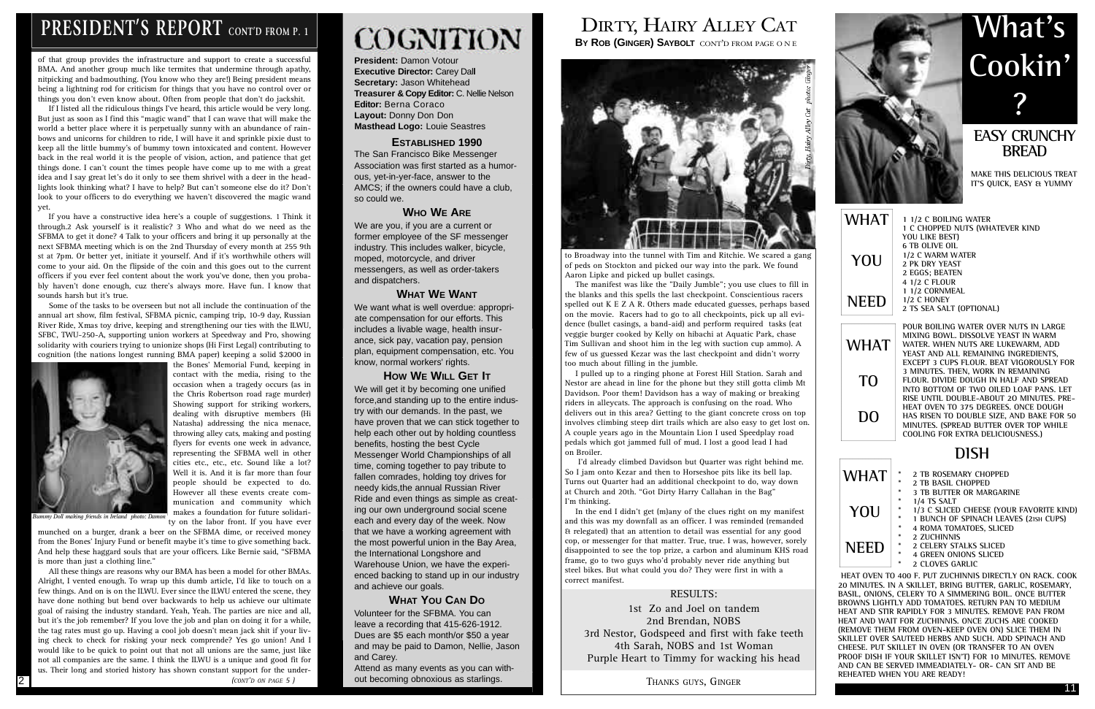**President:** Damon Votour **Executive Director: Carey Dall Secretary:** Jason Whitehead **Treasurer & Copy Editor:** C. Nellie Nelson **Editor: Berna Coraco Layout:** Donny Don Don **Masthead Logo:** Louie Seastres

#### **ESTABLISHED 1990**

The San Francisco Bike Messenger Association was first started as a humorous, yet-in-yer-face, answer to the AMCS; if the owners could have a club, so could we.

#### **WHO WE ARE**

We are you, if you are a current or former employee of the SF messenger industry. This includes walker, bicycle, moped, motorcycle, and driver messengers, as well as order-takers and dispatchers.

#### **WHAT WE WANT**

We want what is well overdue: appropriate compensation for our efforts. This includes a livable wage, health insurance, sick pay, vacation pay, pension plan, equipment compensation, etc. You know, normal workers' rights.

#### **HOW WE WILL GET IT**

### **EASY CRUNCHY BREAD**

**MAKE THIS DELICIOUS TREAT IT'S QUICK, EASY & YUMMY** 

We will get it by becoming one unified force,and standing up to the entire industry with our demands. In the past, we have proven that we can stick together to help each other out by holding countless benefits, hosting the best Cycle Messenger World Championships of all time, coming together to pay tribute to fallen comrades, holding toy drives for needy kids,the annual Russian River Ride and even things as simple as creating our own underground social scene each and every day of the week. Now that we have a working agreement with the most powerful union in the Bay Area, the International Longshore and Warehouse Union, we have the experienced backing to stand up in our industry and achieve our goals.

#### **WHAT YOU CAN DO**

Volunteer for the SFBMA. You can leave a recording that 415-626-1912. Dues are \$5 each month/or \$50 a year and may be paid to Damon, Nellie, Jason and Carey.

Attend as many events as you can without becoming obnoxious as starlings.

## DIRTY, HAIRY ALLEY CAT

**BY ROB (GINGER) SAYBOLT** CONT'D FROM PAGE ONEI



**POUR BOILING WATER OVER NUTS IN LARGE MIXING BOWL. DISSOLVE YEAST IN WARM WATER. WHEN NUTS ARE LUKEWARM, ADD YEAST AND ALL REMAINING INGREDIENTS, EXCEPT 3 CUPS FLOUR. BEAT VIGOROUSLY FOR 3 MINUTES. THEN, WORK IN REMAINING FLOUR. DIVIDE DOUGH IN HALF AND SPREAD INTO BOTTOM OF TWO OILED LOAF PANS. LET RISE UNTIL DOUBLE-ABOUT 2O MINUTES. PRE-HEAT OVEN TO 375 DEGREES. ONCE DOUGH HAS RISEN TO DOUBLE SIZE, AND BAKE FOR 50 MINUTES. (SPREAD BUTTER OVER TOP WHILE COOLING FOR EXTRA DELICIOUSNESS.)**

### **DISH**

| 1 1/2 C BOILING WATER                  |
|----------------------------------------|
| <b>1 C CHOPPED NUTS (WHATEVER KIND</b> |
| YOU LIKE BEST)                         |
| <b>6 TB OLIVE OIL</b>                  |
| 1/2 C WARM WATER                       |
| 2 PK DRY YEAST                         |
| 2 EGGS; BEATEN                         |
| 4 1/2 C FLOUR                          |
| 1 1/2 CORNMEAL                         |
| 1/2 C HONEY                            |
| 2 TS SEA SALT (OPTIONAL)               |
|                                        |
|                                        |

the Bones' Memorial Fund, keeping in contact with the media, rising to the occasion when a tragedy occurs (as in the Chris Robertson road rage murder) Showing support for striking workers,

> **\* 2 TB ROSEMARY CHOPPED \* 2 TB BASIL CHOPPED 3 TB BUTTER OR MARGARINE \* 1/4 TS SALT \* 1/3 C SLICED CHEESE (YOUR FAVORITE KIND) \* 1 BUNCH OF SPINACH LEAVES (2ISH CUPS) \* 4 ROMA TOMATOES, SLICED \* 2 ZUCHINNIS \* 2 CELERY STALKS SLICED \* 4 GREEN ONIONS SLICED \* 2 CLOVES GARLIC WHAT NEED**

**HEAT OVEN TO 400 F. PUT ZUCHINNIS DIRECTLY ON RACK. COOK 20 MINUTES. IN A SKILLET, BRING BUTTER, GARLIC, ROSEMARY, BASIL, ONIONS, CELERY TO A SIMMERING BOIL. ONCE BUTTER BROWNS LIGHTLY ADD TOMATOES. RETURN PAN TO MEDIUM HEAT AND STIR RAPIDLY FOR 3 MINUTES. REMOVE PAN FROM HEAT AND WAIT FOR ZUCHINNIS. ONCE ZUCHS ARE COOKED (REMOVE THEM FROM OVEN-KEEP OVEN ON) SLICE THEM IN SKILLET OVER SAUTEED HERBS AND SUCH. ADD SPINACH AND CHEESE. PUT SKILLET IN OVEN (OR TRANSFER TO AN OVEN PROOF DISH IF YOUR SKILLET ISN'T) FOR 10 MINUTES. REMOVE AND CAN BE SERVED IMMEADIATELY- OR- CAN SIT AND BE REHEATED WHEN YOU ARE READY!**

# **What's Cookin' ?**

**YOU**

**WHAT**

**TO**

**DO**

11

### PRESIDENT'S REPORT CONT'D FROM P. 1

of that group provides the infrastructure and support to create a successful BMA. And another group much like termites that undermine through apathy, nitpicking and badmouthing. (You know who they are!) Being president means being a lightning rod for criticism for things that you have no control over or things you don't even know about. Often from people that don't do jackshit.

If I listed all the ridiculous things I've heard, this article would be very long. But just as soon as I find this "magic wand" that I can wave that will make the world a better place where it is perpetually sunny with an abundance of rainbows and unicorns for children to ride, I will have it and sprinkle pixie dust to keep all the little bummy's of bummy town intoxicated and content. However back in the real world it is the people of vision, action, and patience that get things done. I can't count the times people have come up to me with a great idea and I say great let's do it only to see them shrivel with a deer in the headlights look thinking what? I have to help? But can't someone else do it? Don't look to your officers to do everything we haven't discovered the magic wand yet.

If you have a constructive idea here's a couple of suggestions. 1 Think it through.2 Ask yourself is it realistic? 3 Who and what do we need as the SFBMA to get it done? 4 Talk to your officers and bring it up personally at the next SFBMA meeting which is on the 2nd Thursday of every month at 255 9th st at 7pm. Or better yet, initiate it yourself. And if it's worthwhile others will come to your aid. On the flipside of the coin and this goes out to the current officers if you ever feel content about the work you've done, then you probably haven't done enough, cuz there's always more. Have fun. I know that sounds harsh but it's true.

Some of the tasks to be overseen but not all include the continuation of the annual art show, film festival, SFBMA picnic, camping trip, 10-9 day, Russian River Ride, Xmas toy drive, keeping and strengthening our ties with the ILWU, SFBC, TWU-250-A, supporting union workers at Speedway and Pro, showing solidarity with couriers trying to unionize shops (Hi First Legal) contributing to cognition (the nations longest running BMA paper) keeping a solid \$2000 in



dealing with disruptive members (Hi Natasha) addressing the nica menace, throwing alley cats, making and posting flyers for events one week in advance, representing the SFBMA well in other cities etc., etc., etc. Sound like a lot? Well it is. And it is far more than four people should be expected to do. However all these events create communication and community which makes a foundation for future solidarity on the labor front. If you have ever

munched on a burger, drank a beer on the SFBMA dime, or received money from the Bones' Injury Fund or benefit maybe it's time to give something back. And help these haggard souls that are your officers. Like Bernie said, "SFBMA is more than just a clothing line."

All these things are reasons why our BMA has been a model for other BMAs. Alright, I vented enough. To wrap up this dumb article, I'd like to touch on a few things. And on is on the ILWU. Ever since the ILWU entered the scene, they have done nothing but bend over backwards to help us achieve our ultimate goal of raising the industry standard. Yeah, Yeah. The parties are nice and all, but it's the job remember? If you love the job and plan on doing it for a while, the tag rates must go up. Having a cool job doesn't mean jack shit if your living check to check for risking your neck comprende? Yes go union! And I would like to be quick to point out that not all unions are the same, just like not all companies are the same. I think the ILWU is a unique and good fit for us. Their long and storied history has shown constant support for the under-

#### *(CONT'D ON PAGE 5 )*

# **COGNITION**

to Broadway into the tunnel with Tim and Ritchie. We scared a gang of peds on Stockton and picked our way into the park. We found Aaron Lipke and picked up bullet casings.

The manifest was like the "Daily Jumble"; you use clues to fill in the blanks and this spells the last checkpoint. Conscientious racers spelled out K E Z A R. Others made educated guesses, perhaps based on the movie. Racers had to go to all checkpoints, pick up all evidence (bullet casings, a band-aid) and perform required tasks (eat veggie burger cooked by Kelly on hibachi at Aquatic Park, chase Tim Sullivan and shoot him in the leg with suction cup ammo). A few of us guessed Kezar was the last checkpoint and didn't worry too much about filling in the jumble.

I pulled up to a ringing phone at Forest Hill Station. Sarah and Nestor are ahead in line for the phone but they still gotta climb Mt Davidson. Poor them! Davidson has a way of making or breaking riders in alleycats. The approach is confusing on the road. Who delivers out in this area? Getting to the giant concrete cross on top involves climbing steep dirt trails which are also easy to get lost on. A couple years ago in the Mountain Lion I used Speedplay road pedals which got jammed full of mud. I lost a good lead I had on Broiler.

I'd already climbed Davidson but Quarter was right behind me. So I jam onto Kezar and then to Horseshoe pits like its bell lap. Turns out Quarter had an additional checkpoint to do, way down at Church and 20th. "Got Dirty Harry Callahan in the Bag" I'm thinking.

In the end I didn't get (m)any of the clues right on my manifest and this was my downfall as an officer. I was reminded (remanded & relegated) that an attention to detail was essential for any good cop, or messenger for that matter. True, true. I was, however, sorely disappointed to see the top prize, a carbon and aluminum KHS road frame, go to two guys who'd probably never ride anything but steel bikes. But what could you do? They were first in with a correct manifest.

#### RESULTS:

1st Zo and Joel on tandem 2nd Brendan, NOBS 3rd Nestor, Godspeed and first with fake teeth 4th Sarah, NOBS and 1st Woman Purple Heart to Timmy for wacking his head

THANKS GUYS, GINGER

2



*Bummy Doll making friends in Ireland photo: Damon*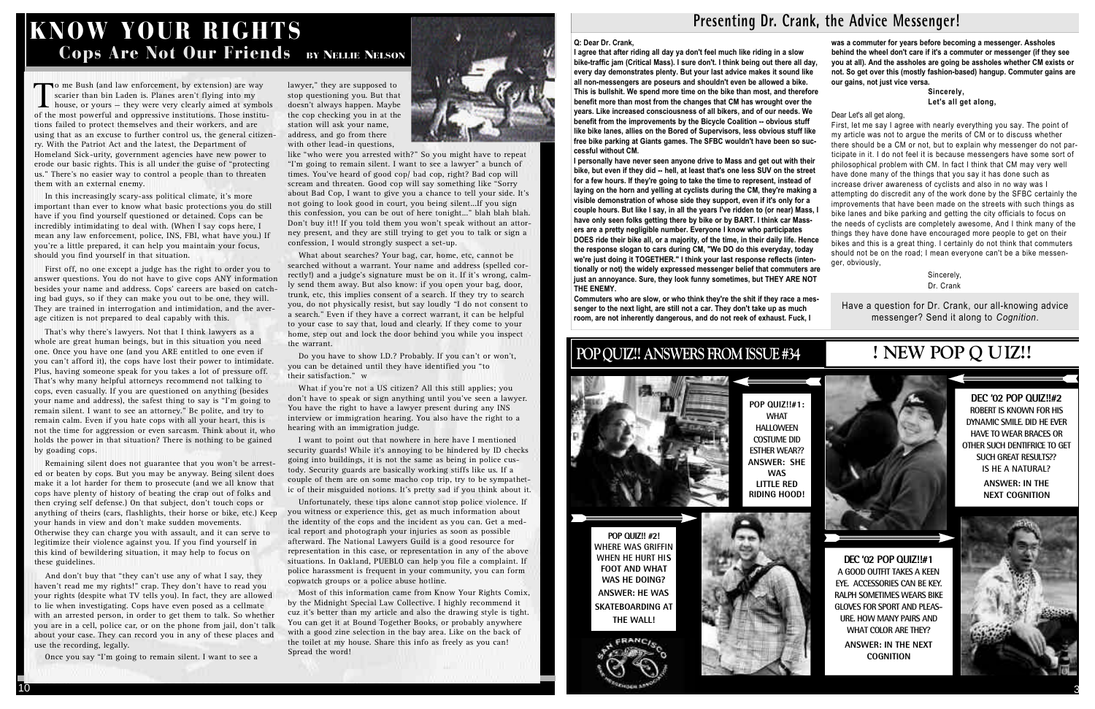#### **Q: Dear Dr. Crank,**

**I agree that after riding all day ya don't feel much like riding in a slow bike-traffic jam (Critical Mass). I sure don't. I think being out there all day, every day demonstrates plenty. But your last advice makes it sound like all non-messengers are poseurs and shouldn't even be allowed a bike. This is bullshit. We spend more time on the bike than most, and therefore benefit more than most from the changes that CM has wrought over the years. Like increased consciousness of all bikers, and of our needs. We benefit from the improvements by the Bicycle Coalition -- obvious stuff like bike lanes, allies on the Bored of Supervisors, less obvious stuff like free bike parking at Giants games. The SFBC wouldn't have been so successful without CM.** 

Sincerely, **Let's all get along,**

First, let me say I agree with nearly everything you say. The point of my article was not to argue the merits of CM or to discuss whether there should be a CM or not, but to explain why messenger do not participate in it. I do not feel it is because messengers have some sort of philosophical problem with CM. In fact I think that CM may very well have done many of the things that you say it has done such as increase driver awareness of cyclists and also in no way was I attempting do discredit any of the work done by the SFBC certainly the improvements that have been made on the streets with such things as bike lanes and bike parking and getting the city officials to focus on the needs of cyclists are completely awesome, And I think many of the things they have done have encouraged more people to get on their bikes and this is a great thing. I certainly do not think that commuters should not be on the road; I mean everyone can't be a bike messenger, obviously.

> Sincerely, Dr. Crank

**I personally have never seen anyone drive to Mass and get out with their bike, but even if they did -- hell, at least that's one less SUV on the street for a few hours. If they're going to take the time to represent, instead of laying on the horn and yelling at cyclists during the CM, they're making a visible demonstration of whose side they support, even if it's only for a couple hours. But like I say, in all the years I've ridden to (or near) Mass, I have only seen folks getting there by bike or by BART. I think car Massers are a pretty negligible number. Everyone I know who participates DOES ride their bike all, or a majority, of the time, in their daily life. Hence the response slogan to cars during CM, "We DO do this everyday, today we're just doing it TOGETHER." I think your last response reflects (intentionally or not) the widely expressed messenger belief that commuters are just an annoyance. Sure, they look funny sometimes, but THEY ARE NOT THE ENEMY.** 

> Have a question for Dr. Crank, our all-knowing advice messenger? Send it along to *Cognition*.

**Commuters who are slow, or who think they're the shit if they race a messenger to the next light, are still not a car. They don't take up as much room, are not inherently dangerous, and do not reek of exhaust. Fuck, I**

### KNOW YOUR RIGHTS Cops Are Not Our Friends BY NELLIE NELSON

**was a commuter for years before becoming a messenger. Assholes behind the wheel don't care if it's a commuter or messenger (if they see you at all). And the assholes are going be assholes whether CM exists or not. So get over this (mostly fashion-based) hangup. Commuter gains are our gains, not just vice versa.** 

Dear Let's all get along,

To me Bush (and law enforcement, by extension) are way scarier than bin Laden is. Planes aren't flying into my house, or yours – they were very clearly aimed at symbol of the most powerful and oppressive institutions. Thos o me Bush (and law enforcement, by extension) are way scarier than bin Laden is. Planes aren't flying into my house, or yours — they were very clearly aimed at symbols tions failed to protect themselves and their workers, and are using that as an excuse to further control us, the general citizenry. With the Patriot Act and the latest, the Department of Homeland Sick-urity, government agencies have new power to erode our basic rights. This is all under the guise of "protecting us." There's no easier way to control a people than to threaten them with an external enemy.

### **POP QUIZ!! ANSWERS FROM ISSUE #34**



**POP QUIZ!! #2! WHERE WAS GRIFFIN WHEN HE HURT HIS FOOT AND WHAT WAS HE DOING? ANSWER: HE WAS SKATEBOARDING AT THE WALL!**

**DEC '02 POP QUIZ!!#2 ROBERT IS KNOWN FOR HIS DYNAMIC SMILE. DID HE EVER HAVE TO WEAR BRACES OR OTHER SUCH DENTIFRICE TO GET SUCH GREAT RESULTS?? IS HE A NATURAL?**

> **ANSWER: IN THE NEXT COGNITION**



**POP QUIZ!!#1: WHAT HALLOWEEN COSTUME DID ESTHER WEAR?? ANSWER: SHE WAS LITTLE RED RIDING HOOD!**

lawyer," they are supposed to stop questioning you. But that doesn't always happen. Maybe the cop checking you in at the station will ask your name, address, and go from there with other lead-in questions,



**D E C ' 02 POP QUIZ!!#1 A GOOD OUTFIT TAKES A KEEN EYE. ACCESSORIES CAN BE KEY. RALPH SOMETIMES WEARS BIKE GLOVES FOR SPORT AND PLEAS-URE. HOW MANY PAIRS AND WHAT COLOR ARE THEY? ANSWER: IN THE NEXT COGNITION**

### **! NEW POP Q UIZ!!**







### Presenting Dr. Crank, the Advice Messenger!

like "who were you arrested with?" So you might have to repeat "I'm going to remain silent. I want to see a lawyer" a bunch of times. You've heard of good cop/ bad cop, right? Bad cop will scream and threaten. Good cop will say something like "Sorry about Bad Cop, I want to give you a chance to tell your side. It's not going to look good in court, you being silent...If you sign this confession, you can be out of here tonight..." blah blah blah. Don't buy it!! If you told them you won't speak without an attorney present, and they are still trying to get you to talk or sign a confession, I would strongly suspect a set-up.

In this increasingly scary-ass political climate, it's more important than ever to know what basic protections you do still have if you find yourself questioned or detained. Cops can be incredibly intimidating to deal with. (When I say cops here, I mean any law enforcement, police, INS, FBI, what have you.) If you're a little prepared, it can help you maintain your focus, should you find yourself in that situation.

> Unfortunately, these tips alone cannot stop police violence. If you witness or experience this, get as much information about the identity of the cops and the incident as you can. Get a medical report and photograph your injuries as soon as possible afterward. The National Lawyers Guild is a good resource for representation in this case, or representation in any of the above situations. In Oakland, PUEBLO can help you file a complaint. If police harassment is frequent in your community, you can form copwatch groups or a police abuse hotline.

First off, no one except a judge has the right to order you to answer questions. You do not have to give cops ANY information besides your name and address. Cops' careers are based on catching bad guys, so if they can make you out to be one, they will. They are trained in interrogation and intimidation, and the average citizen is not prepared to deal capably with this.

That's why there's lawyers. Not that I think lawyers as a whole are great human beings, but in this situation you need one. Once you have one (and you ARE entitled to one even if you can't afford it), the cops have lost their power to intimidate. Plus, having someone speak for you takes a lot of pressure off. That's why many helpful attorneys recommend not talking to cops, even casually. If you are questioned on anything (besides your name and address), the safest thing to say is "I'm going to remain silent. I want to see an attorney." Be polite, and try to remain calm. Even if you hate cops with all your heart, this is not the time for aggression or even sarcasm. Think about it, who holds the power in that situation? There is nothing to be gained by goading cops.

Remaining silent does not guarantee that you won't be arrested or beaten by cops. But you may be anyway. Being silent does make it a lot harder for them to prosecute (and we all know that cops have plenty of history of beating the crap out of folks and then crying self defense.) On that subject, don't touch cops or anything of theirs (cars, flashlights, their horse or bike, etc.) Keep your hands in view and don't make sudden movements. Otherwise they can charge you with assault, and it can serve to legitimize their violence against you. If you find yourself in this kind of bewildering situation, it may help to focus on these guidelines.

And don't buy that "they can't use any of what I say, they haven't read me my rights!" crap. They don't have to read you your rights (despite what TV tells you). In fact, they are allowed to lie when investigating. Cops have even posed as a cellmate with an arrested person, in order to get them to talk. So whether you are in a cell, police car, or on the phone from jail, don't talk about your case. They can record you in any of these places and use the recording, legally.

Once you say "I'm going to remain silent. I want to see a

What about searches? Your bag, car, home, etc, cannot be searched without a warrant. Your name and address (spelled correctly!) and a judge's signature must be on it. If it's wrong, calmly send them away. But also know: if you open your bag, door, trunk, etc, this implies consent of a search. If they try to search you, do not physically resist, but say loudly "I do not consent to a search." Even if they have a correct warrant, it can be helpful to your case to say that, loud and clearly. If they come to your home, step out and lock the door behind you while you inspect the warrant.

Do you have to show I.D.? Probably. If you can't or won't, you can be detained until they have identified you "to their satisfaction." w

What if you're not a US citizen? All this still applies; you don't have to speak or sign anything until you've seen a lawyer. You have the right to have a lawyer present during any INS interview or immigration hearing. You also have the right to a hearing with an immigration judge.

I want to point out that nowhere in here have I mentioned security guards! While it's annoying to be hindered by ID checks going into buildings, it is not the same as being in police custody. Security guards are basically working stiffs like us. If a couple of them are on some macho cop trip, try to be sympathetic of their misguided notions. It's pretty sad if you think about it.

Most of this information came from Know Your Rights Comix, by the Midnight Special Law Collective. I highly recommend it cuz it's better than my article and also the drawing style is tight. You can get it at Bound Together Books, or probably anywhere with a good zine selection in the bay area. Like on the back of the toilet at my house. Share this info as freely as you can! Spread the word!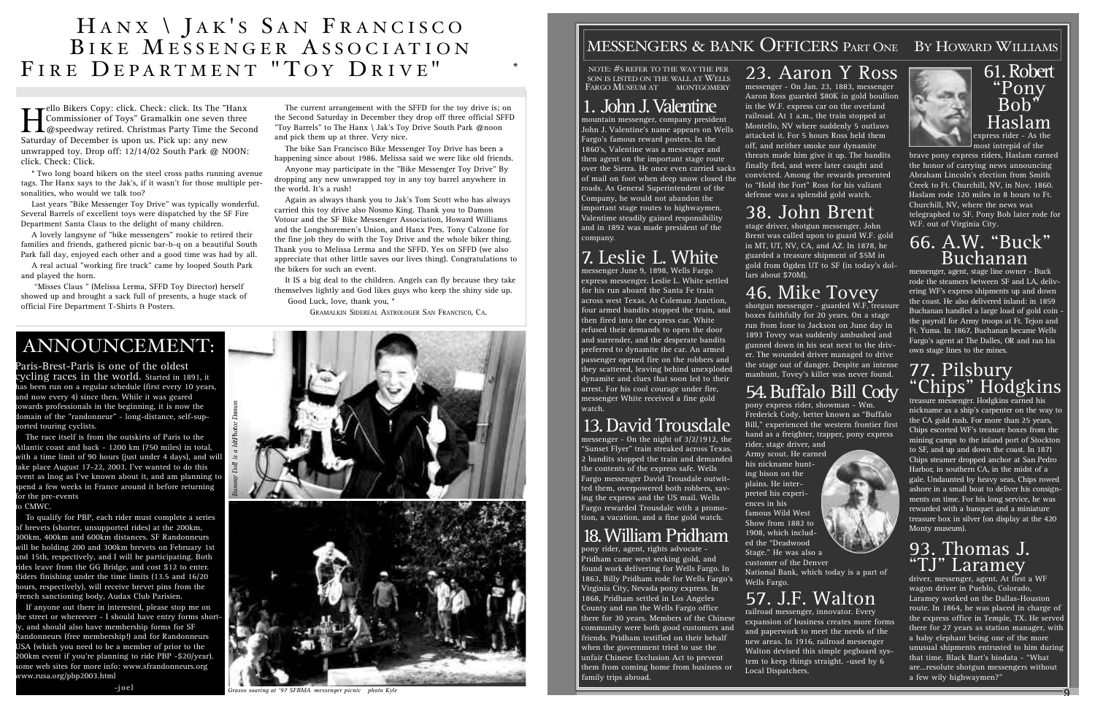mountain messenger, company president John J. Valentine's name appears on Wells Fargo's famous reward posters. In the 1860's, Valentine was a messenger and then agent on the important stage route over the Sierra. He once even carried sacks of mail on foot when deep snow closed the roads. As General Superintendent of the Company, he would not abandon the important stage routes to highwaymen. Valentime steadily gained responsibility and in 1892 was made president of the company.

### 7 . Leslie L. White

messenger June 9, 1898, Wells Fargo express messenger. Leslie L. White settled for his run aboard the Santa Fe train across west Texas. At Coleman Junction, four armed bandits stopped the train, and then fired into the express car. White refused their demands to open the door and surrender, and the desperate bandits preferred to dynamite the car. An armed passenger opened fire on the robbers and they scattered, leaving behind unexploded dynamite and clues that soon led to their arrest. For his cool courage under fire, messenger White received a fine gold watch.

### 13. David Trousdale

messenger - On the night of 3/2/1912, the "Sunset Flyer" train streaked across Texas. 2 bandits stopped the train and demanded the contents of the express safe. Wells Fargo messenger David Trousdale outwitted them, overpowered both robbers, saving the express and the US mail. Wells Fargo rewarded Trousdale with a promotion, a vacation, and a fine gold watch.

### 18 .William Pridham

pony rider, agent, rights advocate - Pridham came west seeking gold, and found work delivering for Wells Fargo. In 1863, Billy Pridham rode for Wells Fargo's Virginia City, Nevada pony express. In 1868, Pridham settled in Los Angeles County and ran the Wells Fargo office there for 30 years. Members of the Chinese community were both good customers and friends. Pridham testified on their behalf when the government tried to use the unfair Chinese Exclusion Act to prevent them from coming home from business or family trips abroad.

## 23. Aaron Y Ross

messenger, agent, stage line owner - Buck rode the steamers between SF and LA, delivering WF's express shipments up and down the coast. He also delivered inland: in 1859 Buchanan handled a large load of gold coin the payroll for Army troops at Ft. Tejon and Ft. Yuma. In 1867, Buchanan became Wells Fargo's agent at The Dalles, OR and ran his own stage lines to the mines.

messenger - On Jan. 23, 1883, messenger Aaron Ross guarded \$80K in gold boullion in the W.F. express car on the overland railroad. At 1 a.m., the train stopped at Montello, NV where suddenly 5 outlaws attacked it. For 5 hours Ross held them off, and neither smoke nor dynamite threats made him give it up. The bandits finally fled, and were later caught and convicted. Among the rewards presented to "Hold the Fort" Ross for his valiant defense was a splendid gold watch.

### 38. John Brent

stage driver, shotgun messenger. John Brent was called upon to guard W.F. gold in MT, UT, NV, CA, and AZ. In 1878, he guarded a treasure shipment of \$5M in gold from Ogden UT to SF (in today's dollars about \$70M).

## 46. Mike Tovey

Paris-Brest-Paris is one of the oldest cycling races in the world. Started in 1891, it as been run on a regular schedule (first every 10 years, nd now every 4) since then. While it was geared owards professionals in the beginning, it is now the omain of the "randonneur" - long-distance, self-suported touring cyclists.

shotgun messenger - guarded W.F. treasure boxes faithfully for 20 years. On a stage run from Ione to Jackson on June day in 1893 Tovey was suddenly ambushed and gunned down in his seat next to the driver. The wounded driver managed to drive the stage out of danger. Despite an intense manhunt, Tovey's killer was never found.

### 54. Buffalo Bill Cody

The race itself is from the outskirts of Paris to the Atlantic coast and back - 1200 km (750 miles) in total, with a time limit of 90 hours (just under 4 days), and will ake place August 17-22, 2003. I've wanted to do this vent as lnog as I've known about it, and am planning to pend a few weeks in France around it before returning or the pre-events

#### o CMWC.

To qualify for PBP, each rider must complete a series of brevets (shorter, unsupported rides) at the 200km, 300km, 400km and 600km distances. SF Randonneurs will be holding 200 and 300km brevets on February 1st and 15th, respectively, and I will be participating. Both ides leave from the GG Bridge, and cost \$12 to enter. iders finishing under the time limits (13.5 and  $16/20$ hours, respectively), will receive brevet pins from the rench sanctioning body, Audax Club Parisien.

pony express rider, showman - Wm.





Frederick Cody, better known as "Buffalo Bill," experienced the western frontier first hand as a freighter, trapper, pony express rider, stage driver, and Army scout. He earned his nickname hunting bison on the plains. He interpreted his experiences in his famous Wild West Show from 1882 to 1908, which included the "Deadwood Stage." He was also a customer of the Denver National Bank, which today is a part of Wells Fargo.

### H A N X \ J A K ' S S A N F R A N C I S C O BIKE MESSENGER ASSOCIATION FIRE DEPARTMENT "TOY DRIVE" 2002\*

### 57. J.F. Walton

railroad messenger, innovator. Every expansion of business creates more forms and paperwork to meet the needs of the new areas. In 1916, railroad messenger Walton devised this simple pegboard system to keep things straight. -used by 6 Local Dispatchers.

I Hanx Copy: click. Check: click. Its The "Hanx"<br>Commissioner of Toys" Gramalkin one seven three<br>@speedway retired. Christmas Party Time the Seco Commissioner of Toys" Gramalkin one seven three @speedway retired. Christmas Party Time the Second Saturday of December is upon us. Pick up: any new unwrapped toy. Drop off: 12/14/02 South Park @ NOON: click. Check: Click.

### 61. Robert "Pony Bob" Haslam express rider - As the

most intrepid of the brave pony express riders, Haslam earned the honor of carrying news announcing Abraham Lincoln's election from Smith Creek to Ft. Churchill, NV, in Nov. 1860. Haslam rode 120 miles in 8 hours to Ft. Churchill, NV, where the news was telegraphed to SF. Pony Bob later rode for W.F. out of Virginia City.

### 66. A.W. "Buck" Buchanan

#### 77. Pilsbury "Chips" Hodgkins treasure messenger. Hodgkins earned his

nickname as a ship's carpenter on the way to the CA gold rush. For more than 25 years, Chips escorted WF's treasure boxes from the mining camps to the inland port of Stockton to SF, and up and down the coast. In 1871 Chips steamer dropped anchor at San Pedro Harbor, in southern CA, in the midst of a gale. Undaunted by heavy seas, Chips rowed ashore in a small boat to deliver his consignments on time. For his long service, he was rewarded with a banquet and a miniature treasure box in silver (on display at the 420 Monty museum).

### 93. Thomas J. "TJ" Laramey

driver, messenger, agent. At first a WF wagon driver in Pueblo, Colorado, Laramey worked on the Dallas-Houston route. In 1864, he was placed in charge of the express office in Temple, TX. He served there for 27 years as station manager, with a baby elephant being one of the more unusual shipments entrusted to him during that time. Black Bart's biodata - "What are...resolute shotgun messengers without a few wily highwaymen?"

### ANNOUNCEMENT:

If anyone out there in interested, please stop me on he street or whereever - I should have entry forms shortly, and should also have membership forms for SF andonneurs (free membership!) and for Randonneurs USA (which you need to be a member of prior to the 200km event if you're planning to ride PBP -\$20/year). ome web sites for more info: www.sfrandonneurs.org www.rusa.org/pbp2003.html

 $-i$  o e l

\* Two long board bikers on the steel cross paths running avenue tags. The Hanx says to the Jak's, if it wasn't for those multiple personalities, who would we talk too?

Last years "Bike Messenger Toy Drive" was typically wonderful. Several Barrels of excellent toys were dispatched by the SF Fire Department Santa Claus to the delight of many children.

A lovely langsyne of "bike messengers" rookie to retired their families and friends, gathered picnic bar-b-q on a beautiful South Park fall day, enjoyed each other and a good time was had by all.

A real actual "working fire truck" came by looped South Park and played the horn.

"Misses Claus " (Melissa Lerma, SFFD Toy Director) herself showed up and brought a sack full of presents, a huge stack of official Fire Department T-Shirts & Posters.

The current arrangement with the SFFD for the toy drive is; on the Second Saturday in December they drop off three official SFFD "Toy Barrels" to The Hanx \ Jak's Toy Drive South Park @noon and pick them up at three. Very nice.

The bike San Francisco Bike Messenger Toy Drive has been a happening since about 1986. Melissa said we were like old friends.

Anyone may participate in the "Bike Messenger Toy Drive" By dropping any new unwrapped toy in any toy barrel anywhere in the world. It's a rush!

Again as always thank you to Jak's Tom Scott who has always carried this toy drive also Nosmo King. Thank you to Damon Votour and the SF Bike Messenger Association, Howard Williams and the Longshoremen's Union, and Hanx Pres. Tony Calzone for the fine job they do with the Toy Drive and the whole biker thing. Thank you to Melissa Lerma and the SFFD. Yes on SFFD (we also appreciate that other little saves our lives thing). Congratulations to the bikers for such an event.

It IS a big deal to the children. Angels can fly because they take themselves lightly and God likes guys who keep the shiny side up. Good Luck, love, thank you, \*

GRAMALKIN SIDEREAL ASTROLOGER SAN FRANCISCO, CA.



*Grasso soaring at '97 SFBMA messenger picnic photo Kyle*

### MESSENGERS & BANK OFFICERS PART ONE BY HOWARD WILLIAMS

(NOTE:  $#S$  REFER TO THE WAY THE PER-SON IS LISTED ON THE WALL AT WELLS FARGO MUSEUM AT 420 MONTGOMERY)

### 1. John J. Valentine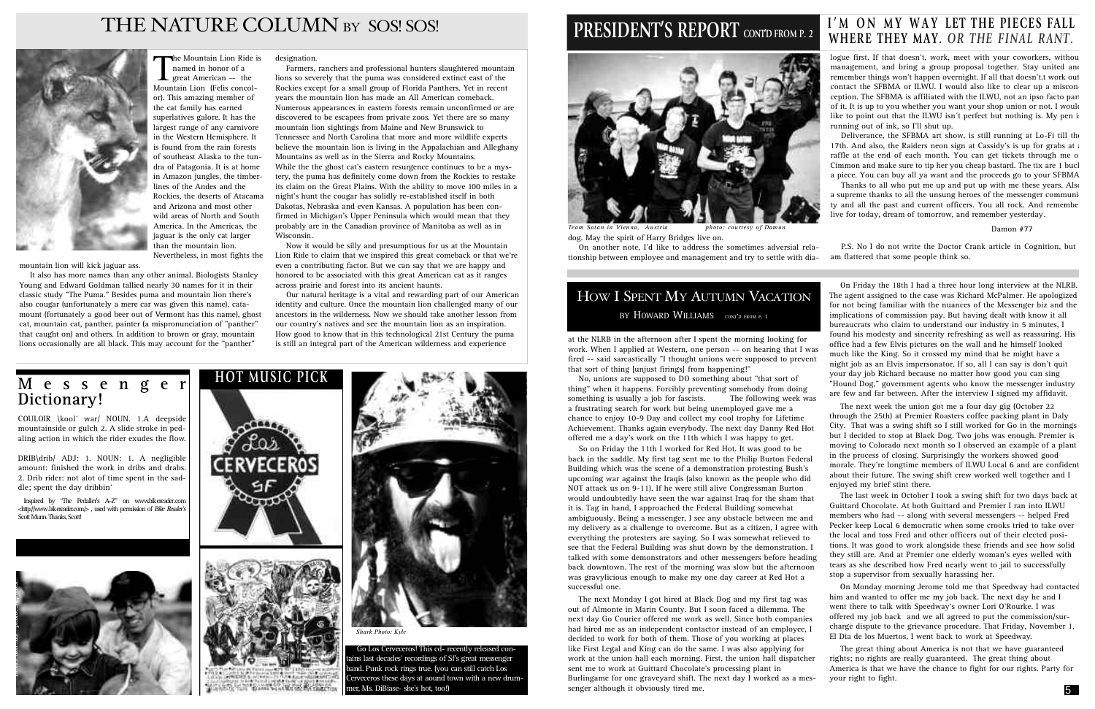



On another note, I'd like to address the sometimes adversial relationship between employee and management and try to settle with dia-

### HOW I SPENT MY AUTUMN VACATION BY HOWARD WILLIAMS CONT'D FROM P. 1

logue first. If that doesn't, work, meet with your coworkers, withou management, and bring a group proposal together. Stay united and remember things won't happen overnight. If all that doesn't,t work out contact the SFBMA or ILWU. I would also like to clear up a misconception. The SFBMA is affiliated with the ILWU, not an ipso facto part of it. It is up to you whether you want your shop union or not. I would like to point out that the ILWU isn't perfect but nothing is. My pen is running out of ink, so I'll shut up.

Thanks to all who put me up and put up with me these years. Also a supreme thanks to all the unsung heroes of the messenger community and all the past and current officers. You all rock. And remembe live for today, dream of tomorrow, and remember yesterday.

P.S. No I do not write the Doctor Crank article in Cognition, but am flattered that some people think so.

### **M e s s e n g e r Dictionary!**

dog. May the spirit of Harry Bridges live on. *Team Satan in Vienna, Austria photo: courtesy of Damon*

Deliverance, the SFBMA art show, is still running at Lo-Fi till the 17th. And also, the Raiders neon sign at Cassidy's is up for grabs at a raffle at the end of each month. You can get tickets through me or Cimmon and make sure to tip her you cheap bastard. The tix are 1 bucl a piece. You can buy all ya want and the proceeds go to your SFBMA.

COULOIR \kool' war/ NOUN. 1.A deepside mountainside or gulch 2. A slide stroke in pedaling action in which the rider exudes the flow.

Inspired by "The Pedaller's A-Z" on www.bikereader.com < http://www.bikereader.com/>, used with permission of *Bike Reader's* Scott Munn. Thanks, Scott!



#### Damon #77

DRIB\drib/ ADJ: 1. NOUN: 1. A negligible amount: finished the work in dribs and drabs. 2. Drib rider: not alot of time spent in the saddle; spent the day dribbin'

at the NLRB in the afternoon after I spent the morning looking for work. When I applied at Western, one person -- on hearing that I was fired -- said sarcastically "I thought unions were supposed to prevent that sort of thing [unjust firings] from happening!"

No, unions are supposed to DO something about "that sort of thing" when it happens. Forcibly preventing somebody from doing<br>something is usually a job for fascists. The following week was something is usually a job for fascists. a frustrating search for work but being unemployed gave me a chance to enjoy 10-9 Day and collect my cool trophy for Lifetime offered me a day's work on the 11th which I was happy to get.

### THE NATURE COLUMN BY SOS! SOS!



The Mountain Lion Ride is<br>
named in honor of a<br>
great American -- the<br>
Mountain Lion (Felis concolnamed in honor of a **L** great American  $-$  the Mountain Lion (Felis concolor). This amazing member of the cat family has earned superlatives galore. It has the largest range of any carnivore in the Western Hemisphere. It is found from the rain forests of southeast Alaska to the tundra of Patagonia. It is at home in Amazon jungles, the timberlines of the Andes and the Rockies, the deserts of Atacama and Arizona and most other wild areas of North and South America. In the Americas, the jaguar is the only cat larger than the mountain lion. Nevertheless, in most fights the

> Achievement. Thanks again everybody. The next day Danny Red Hot So on Friday the 11th I worked for Red Hot. It was good to be back in the saddle. My first tag sent me to the Philip Burton Federal Building which was the scene of a demonstration protesting Bush's upcoming war against the Iraqis (also known as the people who did NOT attack us on 9-11). If he were still alive Congressman Burton would undoubtedly have seen the war against Iraq for the sham that it is. Tag in hand, I approached the Federal Building somewhat ambiguously. Being a messenger, I see any obstacle between me and my delivery as a challenge to overcome. But as a citizen, I agree with everything the protesters are saying. So I was somewhat relieved to see that the Federal Building was shut down by the demonstration. I talked with some demonstrators and other messengers before heading back downtown. The rest of the morning was slow but the afternoon was gravylicious enough to make my one day career at Red Hot a successful one. The next week the union got me a four day gig (October 22 through the 25th) at Premier Roasters coffee packing plant in Daly City. That was a swing shift so I still worked for Go in the mornings but I decided to stop at Black Dog. Two jobs was enough. Premier is moving to Colorado next month so I observed an example of a plant in the process of closing. Surprisingly the workers showed good morale. They're longtime members of ILWU Local 6 and are confident about their future. The swing shift crew worked well together and I enjoyed my brief stint there. The last week in October I took a swing shift for two days back at Guittard Chocolate. At both Guittard and Premier I ran into ILWU members who had -- along with several messengers -- helped Fred Pecker keep Local 6 democratic when some crooks tried to take over the local and toss Fred and other officers out of their elected positions. It was good to work alongside these friends and see how solid they still are. And at Premier one elderly woman's eyes welled with tears as she described how Fred nearly went to jail to successfully stop a supervisor from sexually harassing her. On Monday morning Jerome told me that Speedway had contacted

On Friday the 18th I had a three hour long interview at the NLRB. The agent assigned to the case was Richard McPalmer. He apologized for not being familiar with the nuances of the Messenger biz and the implications of commission pay. But having dealt with know it all bureaucrats who claim to understand our industry in 5 minutes, I found his modesty and sincerity refreshing as well as reassuring. His office had a few Elvis pictures on the wall and he himself looked much like the King. So it crossed my mind that he might have a night job as an Elvis impersonator. If so, all I can say is don't quit your day job Richard because no matter how good you can sing "Hound Dog," government agents who know the messenger industry are few and far between. After the interview I signed my affidavit.

Go Los Cerveceros! This cd- recently released conins last decades' recordings of Sf's great messenger band. Punk rock rings true. (you can still catch Los Cerveceros these days at aound town with a new drummer, Ms. DiBiase- she's hot, too!)

### **PRESIDENT'S REPORT** CONTD FROM P. 2



The next Monday I got hired at Black Dog and my first tag was out of Almonte in Marin County. But I soon faced a dilemma. The next day Go Courier offered me work as well. Since both companies had hired me as an independent contactor instead of an employee, I decided to work for both of them. Those of you working at places like First Legal and King can do the same. I was also applying for work at the union hall each morning. First, the union hall dispatcher sent me to work at Guittard Chocolate's processing plant in Burlingame for one graveyard shift. The next day I worked as a messenger although it obviously tired me. him and wanted to offer me my job back. The next day he and I went there to talk with Speedway's owner Lori O'Rourke. I was offered my job back and we all agreed to put the commission/surcharge dispute to the grievance procedure. That Friday, November 1, El Dia de los Muertos, I went back to work at Speedway. The great thing about America is not that we have guaranteed rights; no rights are really guaranteed. The great thing about America is that we have the chance to fight for our rights. Party for your right to fight. 35

# I'M ON MY WAY LET THE PIECES FALL<br>WHERE THEY MAY. OR THE FINAL RANT.

mountain lion will kick jaguar ass.

It also has more names than any other animal. Biologists Stanley Young and Edward Goldman tallied nearly 30 names for it in their classic study "The Puma." Besides puma and mountain lion there's also cougar (unfortunately a mere car was given this name), catamount (fortunately a good beer out of Vermont has this name), ghost cat, mountain cat, panther, painter (a mispronunciation of "panther" that caught on) and others. In addition to brown or gray, mountain lions occasionally are all black. This may account for the "panther"

designation.

Farmers, ranchers and professional hunters slaughtered mountain lions so severely that the puma was considered extinct east of the Rockies except for a small group of Florida Panthers. Yet in recent years the mountain lion has made an All American comeback. Numerous appearances in eastern forests remain unconfirmed or are discovered to be escapees from private zoos. Yet there are so many mountain lion sightings from Maine and New Brunswick to Tennessee and North Carolina that more and more wildlife experts believe the mountain lion is living in the Appalachian and Alleghany Mountains as well as in the Sierra and Rocky Mountains. While the the ghost cat's eastern resurgence continues to be a mystery, the puma has definitely come down from the Rockies to restake its claim on the Great Plains. With the ability to move 100 miles in a night's hunt the cougar has solidly re-established itself in both Dakotas, Nebraska and even Kansas. A population has been confirmed in Michigan's Upper Peninsula which would mean that they probably are in the Canadian province of Manitoba as well as in Wisconsin.

Now it would be silly and presumptious for us at the Mountain Lion Ride to claim that we inspired this great comeback or that we're even a contributing factor. But we can say that we are happy and honored to be associated with this great American cat as it ranges across prairie and forest into its ancient haunts.

Our natural heritage is a vital and rewarding part of our American identity and culture. Once the mountain lion challenged many of our ancestors in the wilderness. Now we should take another lesson from our country's natives and see the mountain lion as an inspiration. How good to know that in this technological 21st Century the puma is still an integral part of the American wilderness and experience